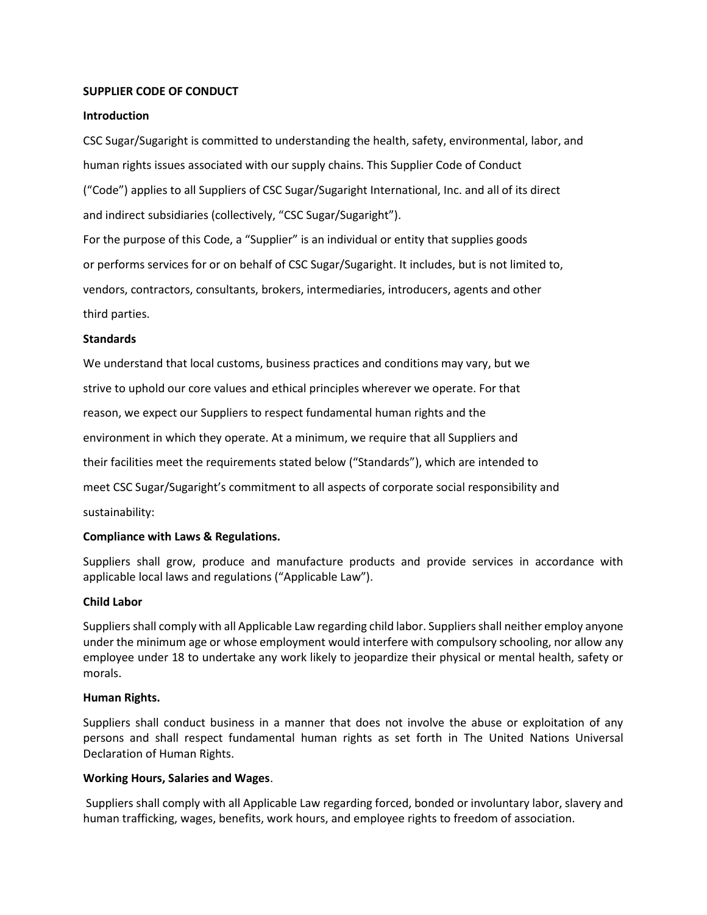## **SUPPLIER CODE OF CONDUCT**

## **Introduction**

CSC Sugar/Sugaright is committed to understanding the health, safety, environmental, labor, and human rights issues associated with our supply chains. This Supplier Code of Conduct ("Code") applies to all Suppliers of CSC Sugar/Sugaright International, Inc. and all of its direct and indirect subsidiaries (collectively, "CSC Sugar/Sugaright").

For the purpose of this Code, a "Supplier" is an individual or entity that supplies goods or performs services for or on behalf of CSC Sugar/Sugaright. It includes, but is not limited to, vendors, contractors, consultants, brokers, intermediaries, introducers, agents and other third parties.

## **Standards**

We understand that local customs, business practices and conditions may vary, but we strive to uphold our core values and ethical principles wherever we operate. For that reason, we expect our Suppliers to respect fundamental human rights and the environment in which they operate. At a minimum, we require that all Suppliers and their facilities meet the requirements stated below ("Standards"), which are intended to meet CSC Sugar/Sugaright's commitment to all aspects of corporate social responsibility and sustainability:

#### **Compliance with Laws & Regulations.**

Suppliers shall grow, produce and manufacture products and provide services in accordance with applicable local laws and regulations ("Applicable Law").

#### **Child Labor**

Suppliers shall comply with all Applicable Law regarding child labor. Suppliers shall neither employ anyone under the minimum age or whose employment would interfere with compulsory schooling, nor allow any employee under 18 to undertake any work likely to jeopardize their physical or mental health, safety or morals.

#### **Human Rights.**

Suppliers shall conduct business in a manner that does not involve the abuse or exploitation of any persons and shall respect fundamental human rights as set forth in The United Nations Universal Declaration of Human Rights.

#### **Working Hours, Salaries and Wages**.

Suppliers shall comply with all Applicable Law regarding forced, bonded or involuntary labor, slavery and human trafficking, wages, benefits, work hours, and employee rights to freedom of association.